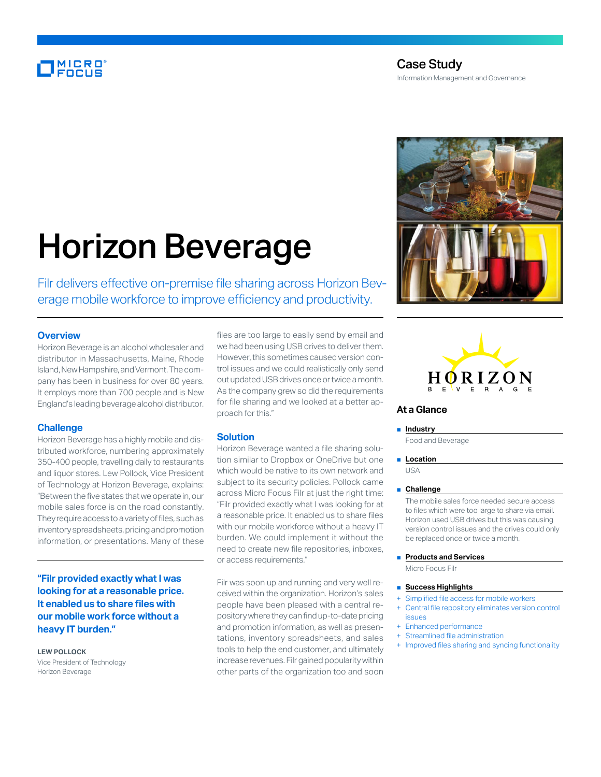## MICRO<br>Encus

### Case Study Information Management and Governance

# Horizon Beverage

Filr delivers effective on-premise file sharing across Horizon Beverage mobile workforce to improve efficiency and productivity.

#### **Overview**

Horizon Beverage is an alcohol wholesaler and distributor in Massachusetts, Maine, Rhode Island, New Hampshire, and Vermont. The company has been in business for over 80 years. It employs more than 700 people and is New England's leading beverage alcohol distributor.

#### **Challenge**

Horizon Beverage has a highly mobile and distributed workforce, numbering approximately 350-400 people, travelling daily to restaurants and liquor stores. Lew Pollock, Vice President of Technology at Horizon Beverage, explains: "Between the five states that we operate in, our mobile sales force is on the road constantly. They require access to a variety of files, such as inventory spreadsheets, pricing and promotion information, or presentations. Many of these

**"Filr provided exactly what I was looking for at a reasonable price. It enabled us to share files with our mobile work force without a heavy IT burden."**

#### **LEW POLLOCK**

Vice President of Technology Horizon Beverage

files are too large to easily send by email and we had been using USB drives to deliver them. However, this sometimes caused version control issues and we could realistically only send out updated USB drives once or twice a month. As the company grew so did the requirements for file sharing and we looked at a better approach for this."

#### **Solution**

Horizon Beverage wanted a file sharing solution similar to Dropbox or OneDrive but one which would be native to its own network and subject to its security policies. Pollock came across Micro Focus Filr at just the right time: "Filr provided exactly what I was looking for at a reasonable price. It enabled us to share files with our mobile workforce without a heavy IT burden. We could implement it without the need to create new file repositories, inboxes, or access requirements."

Filr was soon up and running and very well received within the organization. Horizon's sales people have been pleased with a central repository where they can find up-to-date pricing and promotion information, as well as presentations, inventory spreadsheets, and sales tools to help the end customer, and ultimately increase revenues. Filr gained popularity within other parts of the organization too and soon





#### **At a Glance**

#### ■ **Industry**

Food and Beverage

■ **Location** 

USA

#### ■ **Challenge**

The mobile sales force needed secure access to files which were too large to share via email. Horizon used USB drives but this was causing version control issues and the drives could only be replaced once or twice a month.

**Products and Services** 

Micro Focus Filr

#### ■ **Success Highlights**

- Simplified file access for mobile workers
- + Central file repository eliminates version control issues
- Enhanced performance
- Streamlined file administration
- Improved files sharing and syncing functionality